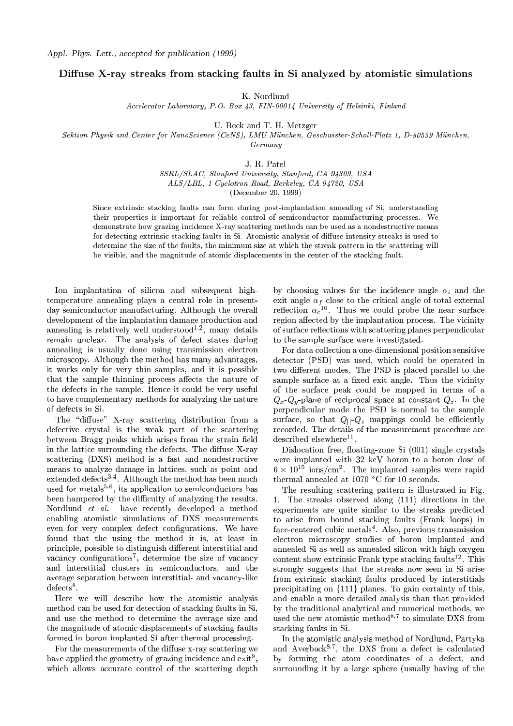## Diffuse X-ray streaks from stacking faults in Si analyzed by atomistic simulations

K. Nordlund

Accelerator Laboratory, P.O. Box 43, FIN-00014 University of Helsinki, Finland

U. Be
k and T. H. Metzger

Sektion Physik and Center for NanoScience (CeNS), LMU München, Geschwister-Scholl-Platz 1, D-80539 München, Germany

J. R. Patel

SSRL/SLAC, Stanford University, Stanford, CA 94309, USA ALS/LBL, 1 Cy
lotron Road, Berkeley, CA 94720, USA

(De
ember 20, 1999)

Since extrinsic stacking faults can form during post-implantation annealing of Si, understanding their properties is important for reliable control of semiconductor manufacturing processes. We demonstrate how grazing incidence X-ray scattering methods can be used as a nondestructive means for detecting extrinsic stacking faults in Si. Atomistic analysis of diffuse intensity streaks is used to determine the size of the faults, the minimum size at which the streak pattern in the scattering will be visible, and the magnitude of atomic displacements in the center of the stacking fault.

Ion implantation of silicon and subsequent hightemperature annealing plays a entral role in presentday semiconductor manufacturing. Although the overall development of the implantation damage production and annealing is relatively well understood<sup>-,-</sup>, many details remain un
lear. The analysis of defe
t states during annealing is usually done using transmission electron microscopy. Although the method has many advantages, it works only for very thin samples, and it is possible that the sample thinning process affects the nature of the defe
ts in the sample. Hen
e it ould be very useful to have omplementary methods for analyzing the nature of defe
ts in Si.

The "diffuse" X-ray scattering distribution from a defective crystal is the weak part of the scattering between Bragg peaks which arises from the strain field in the lattice surrounding the defects. The diffuse X-ray scattering (DXS) method is a fast and nondestructive means to analyze damage in latti
es, su
h as point and extended defects<sup>3,4</sup>. Although the method has been much  $\frac{1}{2}$  and  $\frac{1}{2}$  and  $\frac{1}{2}$  and  $\frac{1}{2}$  are the multiple multiple multiple multiple been hampered by the difficulty of analyzing the results. Nordlund *et al.* have recently developed a method enabling atomistic simulations of DXS measurements even for very complex defect configurations. We have found that the using the method it is, at least in principle, possible to distinguish different interstitial and vacancy connigurations , determine the size of vacancy and interstitial clusters in semiconductors, and the average separation between interstitial- and vacancy-like aelects .

Here we will describe how the atomistic analysis method an be used for dete
tion of sta
king faults in Si, and use the method to determine the average size and the magnitude of atomic displacements of stacking faults formed in boron implanted Si after thermal pro
essing.

For the measurements of the diffuse x-ray scattering we nave applied the geometry of grazing incidence and exit , which allows accurate control of the scattering depth

by choosing values for the incidence angle  $\alpha_i$  and the exit angle  $\alpha_f$  close to the critical angle of total external reflection  $\alpha_c$  . Thus we could probe the hear surface region affected by the implantation process. The vicinity of surface reflections with scattering planes perpendicular to the sample surfa
e were investigated.

For data olle
tion a one-dimensional position sensitive dete
tor (PSD) was used, whi
h ould be operated in two different modes. The PSD is placed parallel to the sample surface at a fixed exit angle. Thus the vicinity of the surfa
e peak ould be mapped in terms of a  $Q_x - Q_y$ -plane of reciprocal space at constant  $Q_z$ . In the perpendi
ular mode the PSD is normal to the sample surface, so that  $Q_{\parallel}$ - $Q_z$  mappings could be efficiently recorded. The details of the measurement procedure are described elsewhere...

Dislocation free, floating-zone Si (001) single crystals were implanted with 32 keV boron to a boron dose of  $6 \times 10^{-1}$  lons/cm<sup>-</sup>. The implanted samples were rapid  $\frac{1}{2}$  thermal annealed at 1070  $\sim$  10 Fector 10 seconds.

The resulting s
attering pattern is illustrated in Fig. 1. The streaks observed along  $\langle 111 \rangle$  directions in the experiments are quite similar to the streaks predicted to arise from bound sta
king faults (Frank loops) in fa
eentered ubi metals<sup>4</sup> . Also, previous transmission electron microscopy studies of boron implanted and annealed Si as well as annealed sili
on with high oxygen content show extrinsic Frank type stacking faults<sup>--</sup>. I his strongly suggests that the streaks now seen in Si arise from extrinsic stacking faults produced by interstitials precipitating on  ${111}$  planes. To gain certainty of this, and enable a more detailed analysis than that provided by the traditional analyti
al and numeri
al methods, we used the new atomistic method<sup>-</sup>; to simulate DAS from sta
king faults in Si.

In the atomisti analysis method of Nordlund, Partyka and Averback  $\rightarrow$ , the DAS from a defect is calculated by forming the atom coordinates of a defect, and surrounding it by a large sphere (usually having of the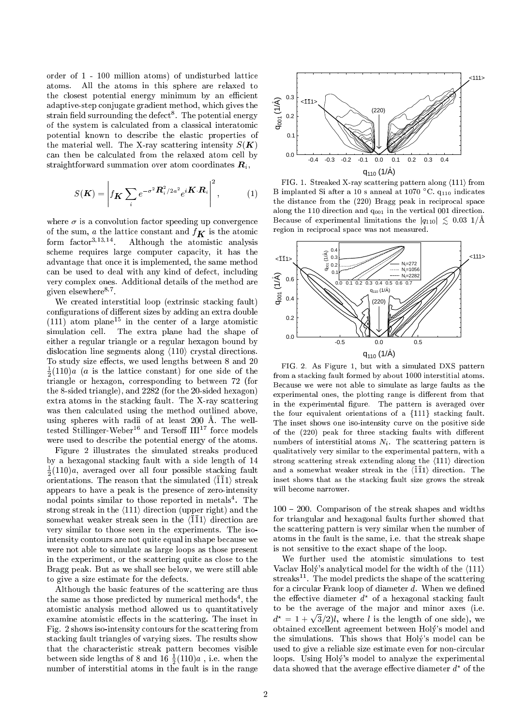order of 1 - 100 million atoms) of undisturbed latti
e atoms. All the atoms in this sphere are relaxed to the closest potential energy minimum by an efficient adaptive-step onjugate gradient method, whi
h gives the  $\operatorname{strain}$  neig surrounding the defect  $\ldots$  The potential energy of the system is calculated from a classical interatomic potential known to des
ribe the elasti properties of the material well. The X-ray scattering intensity  $S(K)$ can then be calculated from the relaxed atom cell by straightforward summation over atom coordinates  $R_i$ ,

$$
S(\boldsymbol{K}) = \left| f_{\boldsymbol{K}} \sum_{i} e^{-\sigma^2 \boldsymbol{R}_i^2 / 2a^2} e^{i \boldsymbol{K} \cdot \boldsymbol{R}_i} \right|^2, \qquad (1)
$$

where  $\sigma$  is a convolution factor speeding up convergence of the sum, a the lattice constant and  $f_{\boldsymbol{K}}$  is the atomic form factor<sup>-12-14</sup>. Although the atomistic analysis scheme requires large computer capacity, it has the advantage that on
e it is implemented, the same method an be used to deal with any kind of defe
t, in
luding very omplex ones. Additional details of the method are given eisewhere<sup>-,</sup>".

We created interstitial loop (extrinsic stacking fault) configurations of different sizes by adding an extra double  $(111)$  atom plane<sup>15</sup> in the center of a large atomistic simulation cell. The extra plane had the shape of either a regular triangle or a regular hexagon bound by dislocation line segments along  $\langle 110 \rangle$  crystal directions. To study size effects, we used lengths between 8 and 20  $\frac{1}{6}(110)a$  (a is the lattice constant) for one side of the triangle or hexagon, orresponding to between 72 (for the 8-sided triangle), and 2282 (for the 20-sided hexagon) extra atoms in the stacking fault. The X-ray scattering was then calculated using the method outlined above, using spheres with radii of at least 200 A. The welltested Stillinger-Weber<sup>16</sup> and Tersoff  $III^{17}$  force models were used to describe the potential energy of the atoms.

Figure 2 illustrates the simulated streaks produ
ed by a hexagonal sta
king fault with a side length of 14  $\frac{1}{6}(110)a$ , averaged over all four possible stacking fault orientations. The reason that the simulated  $\langle 1\overline{1}1\rangle$  streak appears to have a peak is the presen
e of zero-intensity nodal points similar to those reported in metals<sup>4</sup> . The strong streak in the  $\langle 111 \rangle$  direction (upper right) and the somewhat weaker streak seen in the  $\langle 111 \rangle$  direction are very similar to those seen in the experiments. The isointensity ontours are not quite equal in shape be
ause we were not able to simulate as large loops as those present in the experiment, or the s
attering quite as lose to the Bragg peak. But as we shall see below, we were still able to give a size estimate for the defe
ts.

Although the basi features of the s
attering are thus the same as those predicted by numerical methods, the atomisti analysis method allowed us to quantitatively examine atomistic effects in the scattering. The inset in Fig. 2 shows iso-intensity ontours for the s
attering from sta
king fault triangles of varying sizes. The results show that the characteristic streak pattern becomes visible between side lengths of 8 and 10  $\frac{1}{2}(110)a$  , i.e. when the number of interstitial atoms in the fault is in the fault is in the fault is in the fault is in the range of i



FIG. 1. Streaked X-ray scattering pattern along  $\langle 111 \rangle$  from B implanted Si after a TU s'anneal at TU/U °C.  $q_{110}$  indicates the distance from the (220) Bragg peak in reciprocal space along the 110 direction and  $q_{001}$  in the vertical 001 direction. Because of experimental limitations the  $|q_{110}| \lesssim 0.03$  1/Å region in re
ipro
al spa
e was not measured.



FIG. 2. As Figure 1, but with a simulated DXS pattern from a stacking fault formed by about 1000 interstitial atoms. Because we were not able to simulate as large faults as the experimental ones, the plotting range is different from that in the experimental figure. The pattern is averaged over the four equivalent orientations of a  ${111}$  stacking fault. The inset shows one iso-intensity urve on the positive side of the  $(220)$  peak for three stacking faults with different numbers of interstitial atoms  $N_i$ . The scattering pattern is qualitatively very similar to the experimental pattern, with a strong scattering streak extending along the  $\langle 111 \rangle$  direction and a somewhat weaker streak in the  $\langle \overline{1}\overline{1}1\rangle$  direction. The inset shows that as the stacking fault size grows the streak will be
ome narrower.

 $100 - 200$ . Comparison of the streak shapes and widths for triangular and hexagonal faults further showed that the s
attering pattern is very similar when the number of atoms in the fault is the same, i.e. that the streak shape is not sensitive to the exa
t shape of the loop.

We further used the atomistic simulations to test Vaclav Holy's analytical model for the width of the  $\langle 111 \rangle$  $s$  treaks  $\Box$  . The model predicts the shape of the scattering for a circular Frank loop of diameter  $d$ . When we defined the effective diameter  $a^{\circ}$  of a hexagonal stacking fault to be the average of the major and minor axes (i.e.  $d^{\star} = 1 + \sqrt{ }$  $\mathcal{I}$  is the length of one side is the length of one side of one side of one side of one side of one side of one side of one side of one side of one side of one side of one side of one side of one side of one side of o obtained ex
ellent agreement between Holy's model and the simulations. This shows that Holy's model can be used to give a reliable size estimate even for non-circular loops. Using Holy's model to analyze the experimental  $a$ ata showed that the average effective diameter  $a$  for the